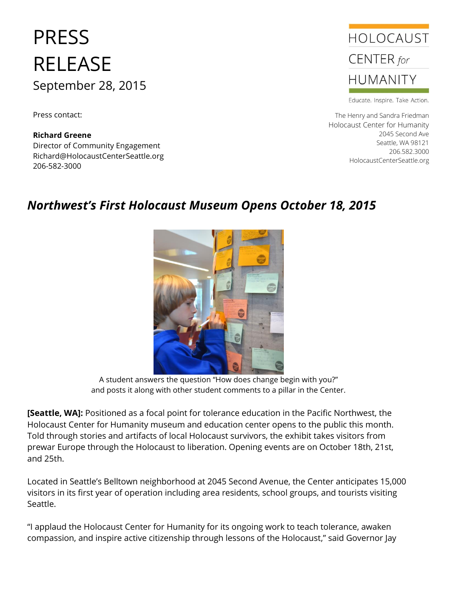## PRESS RELEASE September 28, 2015

Press contact:

**Richard Greene** Director of Community Engagement Richard@HolocaustCenterSeattle.org 206-582-3000



Educate. Inspire. Take Action.

The Henry and Sandra Friedman Holocaust Center for Humanity 2045 Second Ave Seattle, WA 98121 206.582.3000 HolocaustCenterSeattle.org

## *Northwest's First Holocaust Museum Opens October 18, 2015*



A student answers the question "How does change begin with you?" and posts it along with other student comments to a pillar in the Center.

**[Seattle, WA]:** Positioned as a focal point for tolerance education in the Pacific Northwest, the Holocaust Center for Humanity museum and education center opens to the public this month. Told through stories and artifacts of local Holocaust survivors, the exhibit takes visitors from prewar Europe through the Holocaust to liberation. Opening events are on October 18th, 21st, and 25th.

Located in Seattle's Belltown neighborhood at 2045 Second Avenue, the Center anticipates 15,000 visitors in its first year of operation including area residents, school groups, and tourists visiting Seattle.

"I applaud the Holocaust Center for Humanity for its ongoing work to teach tolerance, awaken compassion, and inspire active citizenship through lessons of the Holocaust," said Governor Jay